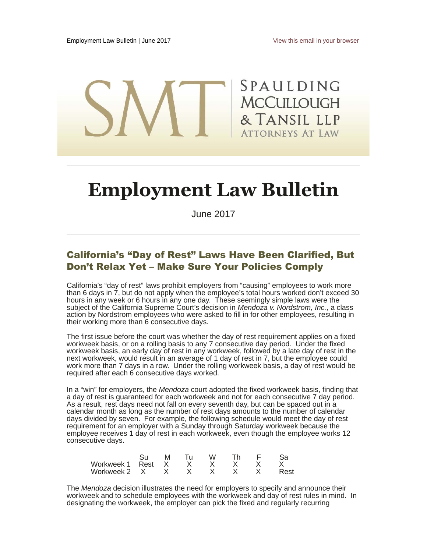## SPAULDING **MCCULLOUGH** TANSIL LLP **TORNEYS AT LAW**

# **Employment Law Bulletin**

June 2017

## California's "Day of Rest" Laws Have Been Clarified, But Don't Relax Yet – Make Sure Your Policies Comply

California's "day of rest" laws prohibit employers from "causing" employees to work more than 6 days in 7, but do not apply when the employee's total hours worked don't exceed 30 hours in any week or 6 hours in any one day. These seemingly simple laws were the subject of the California Supreme Court's decision in *Mendoza v. Nordstrom, Inc.*, a class action by Nordstrom employees who were asked to fill in for other employees, resulting in their working more than 6 consecutive days.

The first issue before the court was whether the day of rest requirement applies on a fixed workweek basis, or on a rolling basis to any 7 consecutive day period. Under the fixed workweek basis, an early day of rest in any workweek, followed by a late day of rest in the next workweek, would result in an average of 1 day of rest in 7, but the employee could work more than 7 days in a row. Under the rolling workweek basis, a day of rest would be required after each 6 consecutive days worked.

In a "win" for employers, the *Mendoza* court adopted the fixed workweek basis, finding that a day of rest is guaranteed for each workweek and not for each consecutive 7 day period. As a result, rest days need not fall on every seventh day, but can be spaced out in a calendar month as long as the number of rest days amounts to the number of calendar days divided by seven. For example, the following schedule would meet the day of rest requirement for an employer with a Sunday through Saturday workweek because the employee receives 1 day of rest in each workweek, even though the employee works 12 consecutive days.

|                       | M <sub>1</sub> |  | <b>Th</b>    | . E |      |
|-----------------------|----------------|--|--------------|-----|------|
| Workweek 1 Rest X X X |                |  | $\mathsf{X}$ |     |      |
| Workweek 2 X X X      |                |  |              |     | Rest |

The *Mendoza* decision illustrates the need for employers to specify and announce their workweek and to schedule employees with the workweek and day of rest rules in mind. In designating the workweek, the employer can pick the fixed and regularly recurring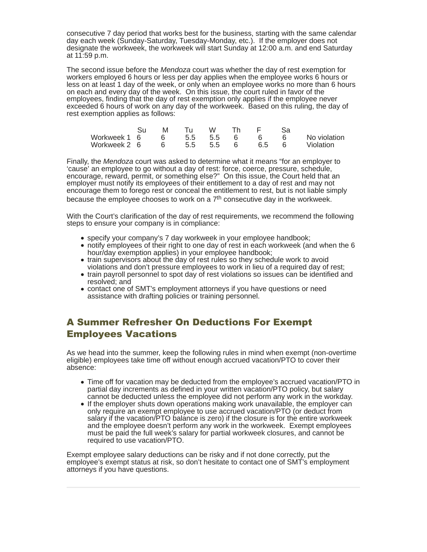consecutive 7 day period that works best for the business, starting with the same calendar day each week (Sunday-Saturday, Tuesday-Monday, etc.). If the employer does not designate the workweek, the workweek will start Sunday at 12:00 a.m. and end Saturday at 11:59 p.m.

The second issue before the *Mendoza* court was whether the day of rest exemption for workers employed 6 hours or less per day applies when the employee works 6 hours or less on at least 1 day of the week, or only when an employee works no more than 6 hours on each and every day of the week. On this issue, the court ruled in favor of the employees, finding that the day of rest exemption only applies if the employee never exceeded 6 hours of work on any day of the workweek. Based on this ruling, the day of rest exemption applies as follows:

|                                          |  |  | Su M Tu W Th F Sa |                                           |
|------------------------------------------|--|--|-------------------|-------------------------------------------|
|                                          |  |  |                   | Workweek 1 6 6 5.5 5.5 6 6 6 No violation |
| Workweek 2 6 6 6.5 5.5 6 6.5 6 Violation |  |  |                   |                                           |

Finally, the *Mendoza* court was asked to determine what it means "for an employer to 'cause' an employee to go without a day of rest: force, coerce, pressure, schedule, encourage, reward, permit, or something else?" On this issue, the Court held that an employer must notify its employees of their entitlement to a day of rest and may not encourage them to forego rest or conceal the entitlement to rest, but is not liable simply because the employee chooses to work on a  $7<sup>th</sup>$  consecutive day in the workweek.

With the Court's clarification of the day of rest requirements, we recommend the following steps to ensure your company is in compliance:

- specify your company's 7 day workweek in your employee handbook;
- notify employees of their right to one day of rest in each workweek (and when the 6 hour/day exemption applies) in your employee handbook;
- train supervisors about the day of rest rules so they schedule work to avoid violations and don't pressure employees to work in lieu of a required day of rest;
- train payroll personnel to spot day of rest violations so issues can be identified and resolved; and
- contact one of SMT's employment attorneys if you have questions or need assistance with drafting policies or training personnel.

### A Summer Refresher On Deductions For Exempt Employees Vacations

As we head into the summer, keep the following rules in mind when exempt (non-overtime eligible) employees take time off without enough accrued vacation/PTO to cover their absence:

- Time off for vacation may be deducted from the employee's accrued vacation/PTO in partial day increments as defined in your written vacation/PTO policy, but salary cannot be deducted unless the employee did not perform any work in the workday.
- If the employer shuts down operations making work unavailable, the employer can only require an exempt employee to use accrued vacation/PTO (or deduct from salary if the vacation/PTO balance is zero) if the closure is for the entire workweek and the employee doesn't perform any work in the workweek. Exempt employees must be paid the full week's salary for partial workweek closures, and cannot be required to use vacation/PTO.

Exempt employee salary deductions can be risky and if not done correctly, put the employee's exempt status at risk, so don't hesitate to contact one of SMT's employment attorneys if you have questions.